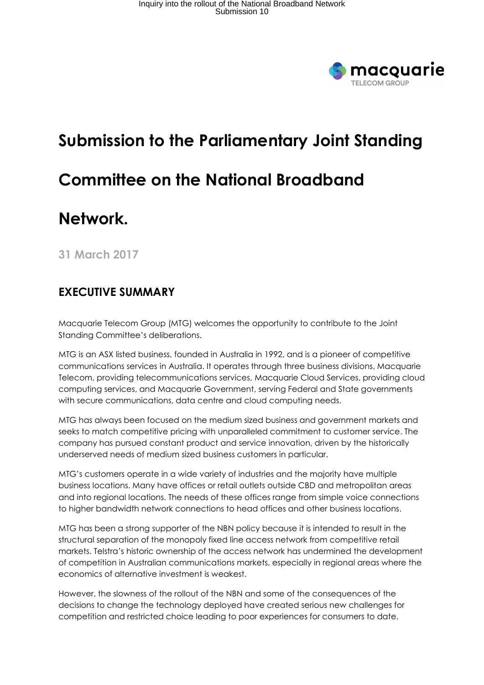

# Submission to the Parliamentary Joint Standing Committee on the National Broadband

# Network.

31 March 2017

#### EXECUTIVE SUMMARY

Macquarie Telecom Group (MTG) welcomes the opportunity to contribute to the Joint Standing Committee's deliberations.

MTG is an ASX listed business, founded in Australia in 1992, and is a pioneer of competitive communications services in Australia. It operates through three business divisions, Macquarie Telecom, providing telecommunications services, Macquarie Cloud Services, providing cloud computing services, and Macquarie Government, serving Federal and State governments with secure communications, data centre and cloud computing needs.

MTG has always been focused on the medium sized business and government markets and seeks to match competitive pricing with unparalleled commitment to customer service. The company has pursued constant product and service innovation, driven by the historically underserved needs of medium sized business customers in particular.

MTG's customers operate in a wide variety of industries and the majority have multiple business locations. Many have offices or retail outlets outside CBD and metropolitan areas and into regional locations. The needs of these offices range from simple voice connections to higher bandwidth network connections to head offices and other business locations.

MTG has been a strong supporter of the NBN policy because it is intended to result in the structural separation of the monopoly fixed line access network from competitive retail markets. Telstra's historic ownership of the access network has undermined the development of competition in Australian communications markets, especially in regional areas where the economics of alternative investment is weakest.

However, the slowness of the rollout of the NBN and some of the consequences of the decisions to change the technology deployed have created serious new challenges for competition and restricted choice leading to poor experiences for consumers to date.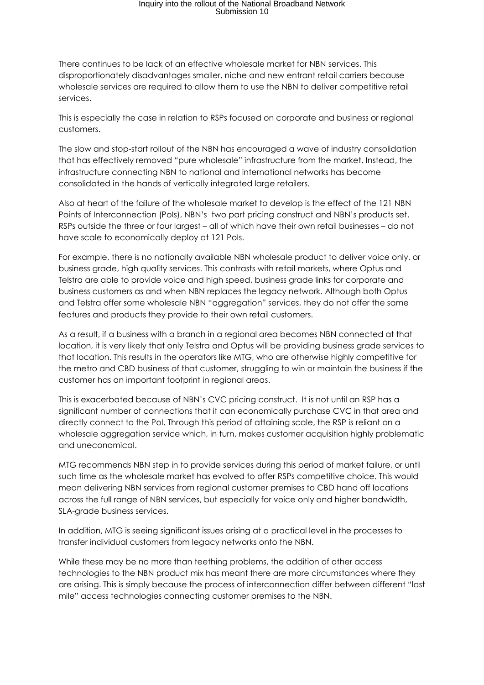## Inquiry into the rollout of the National Broadband Network Submission 10

There continues to be lack of an effective wholesale market for NBN services. This disproportionately disadvantages smaller, niche and new entrant retail carriers because wholesale services are required to allow them to use the NBN to deliver competitive retail services.

This is especially the case in relation to RSPs focused on corporate and business or regional customers.

The slow and stop-start rollout of the NBN has encouraged a wave of industry consolidation that has effectively removed "pure wholesale" infrastructure from the market. Instead, the infrastructure connecting NBN to national and international networks has become consolidated in the hands of vertically integrated large retailers.

Also at heart of the failure of the wholesale market to develop is the effect of the 121 NBN Points of Interconnection (PoIs), NBN's two part pricing construct and NBN's products set. RSPs outside the three or four largest – all of which have their own retail businesses – do not have scale to economically deploy at 121 PoIs.

For example, there is no nationally available NBN wholesale product to deliver voice only, or business grade, high quality services. This contrasts with retail markets, where Optus and Telstra are able to provide voice and high speed, business grade links for corporate and business customers as and when NBN replaces the legacy network. Although both Optus and Telstra offer some wholesale NBN "aggregation" services, they do not offer the same features and products they provide to their own retail customers.

As a result, if a business with a branch in a regional area becomes NBN connected at that location, it is very likely that only Telstra and Optus will be providing business grade services to that location. This results in the operators like MTG, who are otherwise highly competitive for the metro and CBD business of that customer, struggling to win or maintain the business if the customer has an important footprint in regional areas.

This is exacerbated because of NBN's CVC pricing construct. It is not until an RSP has a significant number of connections that it can economically purchase CVC in that area and directly connect to the PoI. Through this period of attaining scale, the RSP is reliant on a wholesale aggregation service which, in turn, makes customer acquisition highly problematic and uneconomical.

MTG recommends NBN step in to provide services during this period of market failure, or until such time as the wholesale market has evolved to offer RSPs competitive choice. This would mean delivering NBN services from regional customer premises to CBD hand off locations across the full range of NBN services, but especially for voice only and higher bandwidth, SLA-grade business services.

In addition, MTG is seeing significant issues arising at a practical level in the processes to transfer individual customers from legacy networks onto the NBN.

While these may be no more than teething problems, the addition of other access technologies to the NBN product mix has meant there are more circumstances where they are arising. This is simply because the process of interconnection differ between different "last mile" access technologies connecting customer premises to the NBN.